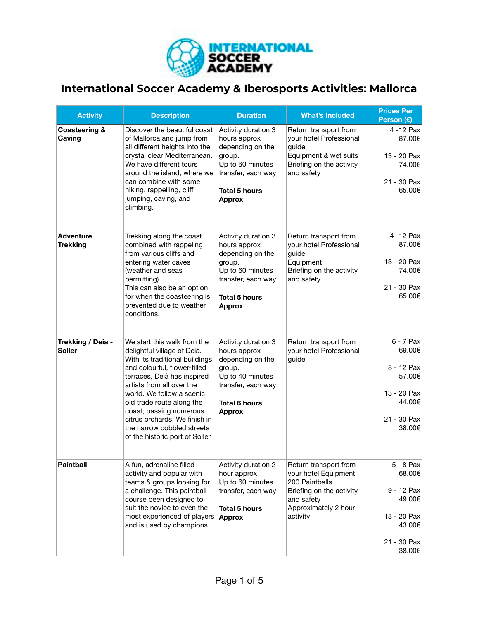

## **International Soccer Academy & Iberosports Activities: Mallorca**

| <b>Activity</b>                     | <b>Description</b>                                                                                                                                                                                                                                                                                                                                                              | <b>Duration</b>                                                                                                                                      | <b>What's Included</b>                                                                                                                        | <b>Prices Per</b><br>Person $(E)$                                                             |
|-------------------------------------|---------------------------------------------------------------------------------------------------------------------------------------------------------------------------------------------------------------------------------------------------------------------------------------------------------------------------------------------------------------------------------|------------------------------------------------------------------------------------------------------------------------------------------------------|-----------------------------------------------------------------------------------------------------------------------------------------------|-----------------------------------------------------------------------------------------------|
| <b>Coasteering &amp;</b><br>Caving  | Discover the beautiful coast<br>of Mallorca and jump from<br>all different heights into the<br>crystal clear Mediterranean.<br>We have different tours<br>around the island, where we<br>can combine with some<br>hiking, rappelling, cliff<br>jumping, caving, and<br>climbing.                                                                                                | Activity duration 3<br>hours approx<br>depending on the<br>group.<br>Up to 60 minutes<br>transfer, each way<br><b>Total 5 hours</b><br><b>Approx</b> | Return transport from<br>your hotel Professional<br>guide<br>Equipment & wet suits<br>Briefing on the activity<br>and safety                  | 4 -12 Pax<br>87.00€<br>13 - 20 Pax<br>74.00€<br>21 - 30 Pax<br>65.00€                         |
| <b>Adventure</b><br><b>Trekking</b> | Trekking along the coast<br>combined with rappeling<br>from various cliffs and<br>entering water caves<br>(weather and seas<br>permitting)<br>This can also be an option<br>for when the coasteering is<br>prevented due to weather<br>conditions.                                                                                                                              | Activity duration 3<br>hours approx<br>depending on the<br>group.<br>Up to 60 minutes<br>transfer, each way<br><b>Total 5 hours</b><br><b>Approx</b> | Return transport from<br>your hotel Professional<br>guide<br>Equipment<br>Briefing on the activity<br>and safety                              | 4 -12 Pax<br>87.00€<br>13 - 20 Pax<br>74.00€<br>21 - 30 Pax<br>65.00€                         |
| Trekking / Deia -<br><b>Soller</b>  | We start this walk from the<br>delightful village of Deià.<br>With its traditional buildings<br>and colourful, flower-filled<br>terraces, Deià has inspired<br>artists from all over the<br>world. We follow a scenic<br>old trade route along the<br>coast, passing numerous<br>citrus orchards. We finish in<br>the narrow cobbled streets<br>of the historic port of Soller. | Activity duration 3<br>hours approx<br>depending on the<br>group.<br>Up to 40 minutes<br>transfer, each way<br><b>Total 6 hours</b><br><b>Approx</b> | Return transport from<br>your hotel Professional<br>guide                                                                                     | 6 - 7 Pax<br>69.00€<br>8 - 12 Pax<br>57.00€<br>13 - 20 Pax<br>44.00€<br>21 - 30 Pax<br>38.00€ |
| <b>Paintball</b>                    | A fun, adrenaline filled<br>activity and popular with<br>teams & groups looking for<br>a challenge. This paintball<br>course been designed to<br>suit the novice to even the<br>most experienced of players<br>and is used by champions.                                                                                                                                        | Activity duration 2<br>hour approx<br>Up to 60 minutes<br>transfer, each way<br><b>Total 5 hours</b><br><b>Approx</b>                                | Return transport from<br>your hotel Equipment<br>200 Paintballs<br>Briefing on the activity<br>and safety<br>Approximately 2 hour<br>activity | 5 - 8 Pax<br>68.00€<br>9 - 12 Pax<br>49.00€<br>13 - 20 Pax<br>43.00€<br>21 - 30 Pax<br>38.00€ |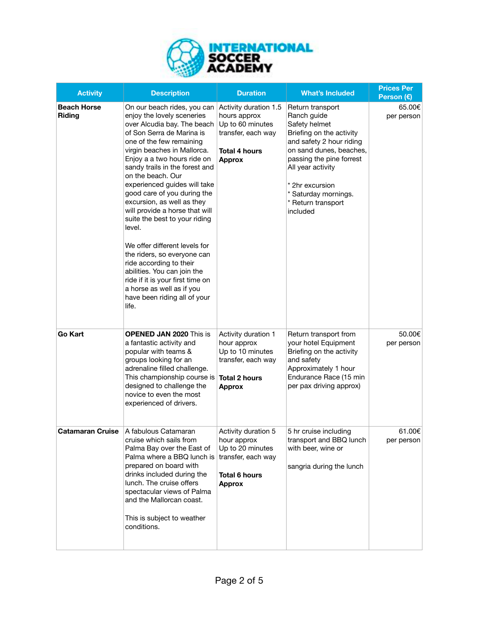

| <b>Activity</b>              | <b>Description</b>                                                                                                                                                                                                                                                                                                                                                                                                                                                                                                                                                                                                                                                                   | <b>Duration</b>                                                                                                          | <b>What's Included</b>                                                                                                                                                                                                                                            | <b>Prices Per</b><br>Person (€) |
|------------------------------|--------------------------------------------------------------------------------------------------------------------------------------------------------------------------------------------------------------------------------------------------------------------------------------------------------------------------------------------------------------------------------------------------------------------------------------------------------------------------------------------------------------------------------------------------------------------------------------------------------------------------------------------------------------------------------------|--------------------------------------------------------------------------------------------------------------------------|-------------------------------------------------------------------------------------------------------------------------------------------------------------------------------------------------------------------------------------------------------------------|---------------------------------|
| <b>Beach Horse</b><br>Riding | On our beach rides, you can<br>enjoy the lovely sceneries<br>over Alcudia bay. The beach<br>of Son Serra de Marina is<br>one of the few remaining<br>virgin beaches in Mallorca.<br>Enjoy a a two hours ride on<br>sandy trails in the forest and<br>on the beach. Our<br>experienced guides will take<br>good care of you during the<br>excursion, as well as they<br>will provide a horse that will<br>suite the best to your riding<br>level.<br>We offer different levels for<br>the riders, so everyone can<br>ride according to their<br>abilities. You can join the<br>ride if it is your first time on<br>a horse as well as if you<br>have been riding all of your<br>life. | Activity duration 1.5<br>hours approx<br>Up to 60 minutes<br>transfer, each way<br><b>Total 4 hours</b><br><b>Approx</b> | Return transport<br>Ranch guide<br>Safety helmet<br>Briefing on the activity<br>and safety 2 hour riding<br>on sand dunes, beaches,<br>passing the pine forrest<br>All year activity<br>* 2hr excursion<br>* Saturday mornings.<br>* Return transport<br>included | 65.00€<br>per person            |
| <b>Go Kart</b>               | <b>OPENED JAN 2020 This is</b><br>a fantastic activity and<br>popular with teams &<br>groups looking for an<br>adrenaline filled challenge.<br>This championship course is Total 2 hours<br>designed to challenge the<br>novice to even the most<br>experienced of drivers.                                                                                                                                                                                                                                                                                                                                                                                                          | Activity duration 1<br>hour approx<br>Up to 10 minutes<br>transfer, each way<br><b>Approx</b>                            | Return transport from<br>your hotel Equipment<br>Briefing on the activity<br>and safety<br>Approximately 1 hour<br>Endurance Race (15 min<br>per pax driving approx)                                                                                              | 50.00€<br>per person            |
| Catamaran Cruise             | ∃A fabulous Catamaran<br>cruise which sails from<br>Palma Bay over the East of<br>Palma where a BBQ lunch is<br>prepared on board with<br>drinks included during the<br>lunch. The cruise offers<br>spectacular views of Palma<br>and the Mallorcan coast.<br>This is subject to weather<br>conditions.                                                                                                                                                                                                                                                                                                                                                                              | Activity duration 5<br>hour approx<br>Up to 20 minutes<br>transfer, each way<br><b>Total 6 hours</b><br><b>Approx</b>    | 5 hr cruise including<br>transport and BBQ lunch<br>with beer, wine or<br>sangria during the lunch                                                                                                                                                                | 61.00€<br>per person            |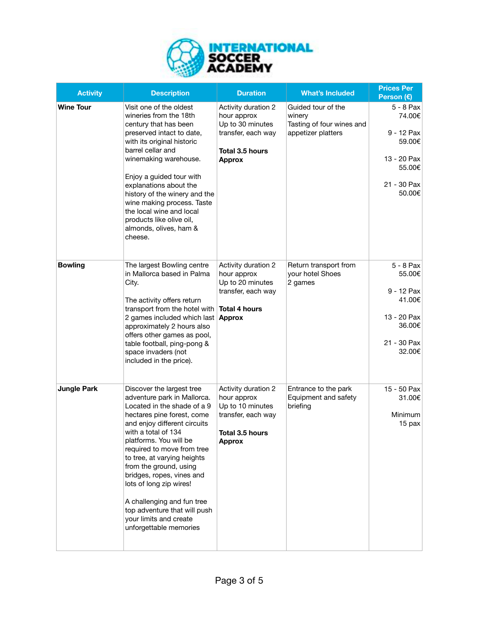

| <b>Activity</b>    | <b>Description</b>                                                                                                                                                                                                                                                                                                                                                                                                                                                      | <b>Duration</b>                                                                                                       | <b>What's Included</b>                                                          | <b>Prices Per</b><br>Person (€)                                                               |
|--------------------|-------------------------------------------------------------------------------------------------------------------------------------------------------------------------------------------------------------------------------------------------------------------------------------------------------------------------------------------------------------------------------------------------------------------------------------------------------------------------|-----------------------------------------------------------------------------------------------------------------------|---------------------------------------------------------------------------------|-----------------------------------------------------------------------------------------------|
| <b>Wine Tour</b>   | Visit one of the oldest<br>wineries from the 18th<br>century that has been<br>preserved intact to date,<br>with its original historic<br>barrel cellar and<br>winemaking warehouse.<br>Enjoy a guided tour with<br>explanations about the<br>history of the winery and the<br>wine making process. Taste<br>the local wine and local<br>products like olive oil,<br>almonds, olives, ham &<br>cheese.                                                                   | Activity duration 2<br>hour approx<br>Up to 30 minutes<br>transfer, each way<br>Total 3.5 hours<br><b>Approx</b>      | Guided tour of the<br>winery<br>Tasting of four wines and<br>appetizer platters | 5 - 8 Pax<br>74.00€<br>9 - 12 Pax<br>59.00€<br>13 - 20 Pax<br>55.00€<br>21 - 30 Pax<br>50.00€ |
| <b>Bowling</b>     | The largest Bowling centre<br>in Mallorca based in Palma<br>City.<br>The activity offers return<br>transport from the hotel with<br>2 games included which last<br>approximately 2 hours also<br>offers other games as pool,<br>table football, ping-pong &<br>space invaders (not<br>included in the price).                                                                                                                                                           | Activity duration 2<br>hour approx<br>Up to 20 minutes<br>transfer, each way<br><b>Total 4 hours</b><br><b>Approx</b> | Return transport from<br>your hotel Shoes<br>2 games                            | 5 - 8 Pax<br>55.00€<br>9 - 12 Pax<br>41.00€<br>13 - 20 Pax<br>36.00€<br>21 - 30 Pax<br>32.00€ |
| <b>Jungle Park</b> | Discover the largest tree<br>adventure park in Mallorca.<br>Located in the shade of a 9<br>hectares pine forest, come<br>and enjoy different circuits<br>with a total of 134<br>platforms. You will be<br>required to move from tree<br>to tree, at varying heights<br>from the ground, using<br>bridges, ropes, vines and<br>lots of long zip wires!<br>A challenging and fun tree<br>top adventure that will push<br>your limits and create<br>unforgettable memories | Activity duration 2<br>hour approx<br>Up to 10 minutes<br>transfer, each way<br>Total 3.5 hours<br><b>Approx</b>      | Entrance to the park<br>Equipment and safety<br>briefing                        | 15 - 50 Pax<br>31.00€<br>Minimum<br>15 pax                                                    |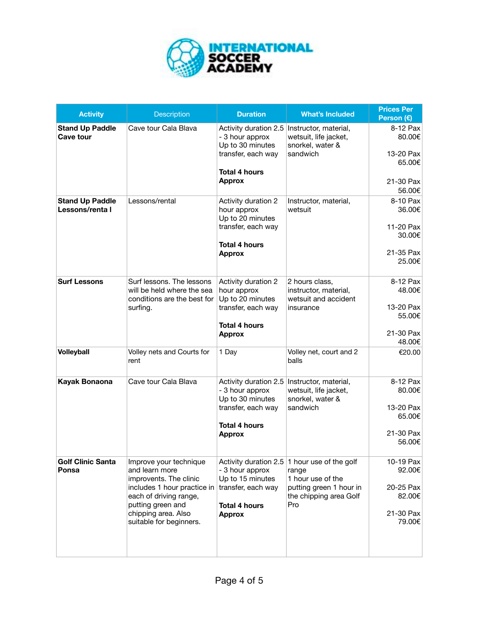

| <b>Activity</b>                           | <b>Description</b>                                                                                                                                                                                 | <b>Duration</b>                                                                                            | <b>What's Included</b>                                                                                                                 | <b>Prices Per</b><br>Person $(E)$         |
|-------------------------------------------|----------------------------------------------------------------------------------------------------------------------------------------------------------------------------------------------------|------------------------------------------------------------------------------------------------------------|----------------------------------------------------------------------------------------------------------------------------------------|-------------------------------------------|
| <b>Stand Up Paddle</b><br>Cave tour       | Cave tour Cala Blava                                                                                                                                                                               | Activity duration 2.5<br>- 3 hour approx<br>Up to 30 minutes<br>transfer, each way<br><b>Total 4 hours</b> | Instructor, material,<br>wetsuit, life jacket,<br>snorkel, water &<br>sandwich                                                         | 8-12 Pax<br>80.00€<br>13-20 Pax<br>65.00€ |
|                                           |                                                                                                                                                                                                    | <b>Approx</b>                                                                                              |                                                                                                                                        | 21-30 Pax<br>56.00€                       |
| <b>Stand Up Paddle</b><br>Lessons/renta I | Lessons/rental                                                                                                                                                                                     | Activity duration 2<br>hour approx<br>Up to 20 minutes                                                     | Instructor, material,<br>wetsuit                                                                                                       | 8-10 Pax<br>36.00€                        |
|                                           |                                                                                                                                                                                                    | transfer, each way<br><b>Total 4 hours</b>                                                                 |                                                                                                                                        | 11-20 Pax<br>30.00€                       |
|                                           |                                                                                                                                                                                                    | <b>Approx</b>                                                                                              |                                                                                                                                        | 21-35 Pax<br>25.00€                       |
| <b>Surf Lessons</b>                       | Surf lessons. The lessons<br>will be held where the sea<br>conditions are the best for<br>surfing.                                                                                                 | Activity duration 2<br>hour approx<br>Up to 20 minutes                                                     | 2 hours class,<br>instructor, material,<br>wetsuit and accident<br>insurance                                                           | 8-12 Pax<br>48.00€                        |
|                                           |                                                                                                                                                                                                    | transfer, each way<br><b>Total 4 hours</b>                                                                 |                                                                                                                                        | 13-20 Pax<br>55.00€                       |
|                                           |                                                                                                                                                                                                    | <b>Approx</b>                                                                                              |                                                                                                                                        | 21-30 Pax<br>48.00€                       |
| <b>Volleyball</b>                         | Volley nets and Courts for<br>rent                                                                                                                                                                 | 1 Day                                                                                                      | Volley net, court and 2<br>balls                                                                                                       | €20.00                                    |
| Kayak Bonaona                             | Cave tour Cala Blava                                                                                                                                                                               | Activity duration 2.5<br>- 3 hour approx<br>Up to 30 minutes                                               | Instructor, material,<br>wetsuit, life jacket,<br>snorkel, water &<br>sandwich                                                         | 8-12 Pax<br>80.00€                        |
|                                           |                                                                                                                                                                                                    | transfer, each way<br><b>Total 4 hours</b><br><b>Approx</b>                                                |                                                                                                                                        | 13-20 Pax<br>65.00€                       |
|                                           |                                                                                                                                                                                                    |                                                                                                            |                                                                                                                                        | 21-30 Pax<br>56.00€                       |
| <b>Golf Clinic Santa</b><br>Ponsa         | Improve your technique<br>and learn more<br>improvents. The clinic<br>includes 1 hour practice in<br>each of driving range,<br>putting green and<br>chipping area. Also<br>suitable for beginners. | - 3 hour approx<br>Up to 15 minutes<br>transfer, each way<br><b>Total 4 hours</b><br><b>Approx</b>         | Activity duration 2.5 1 hour use of the golf<br>range<br>1 hour use of the<br>putting green 1 hour in<br>the chipping area Golf<br>Pro | 10-19 Pax<br>92.00€                       |
|                                           |                                                                                                                                                                                                    |                                                                                                            |                                                                                                                                        | 20-25 Pax<br>82.00€                       |
|                                           |                                                                                                                                                                                                    |                                                                                                            |                                                                                                                                        | 21-30 Pax<br>79.00€                       |
|                                           |                                                                                                                                                                                                    |                                                                                                            |                                                                                                                                        |                                           |